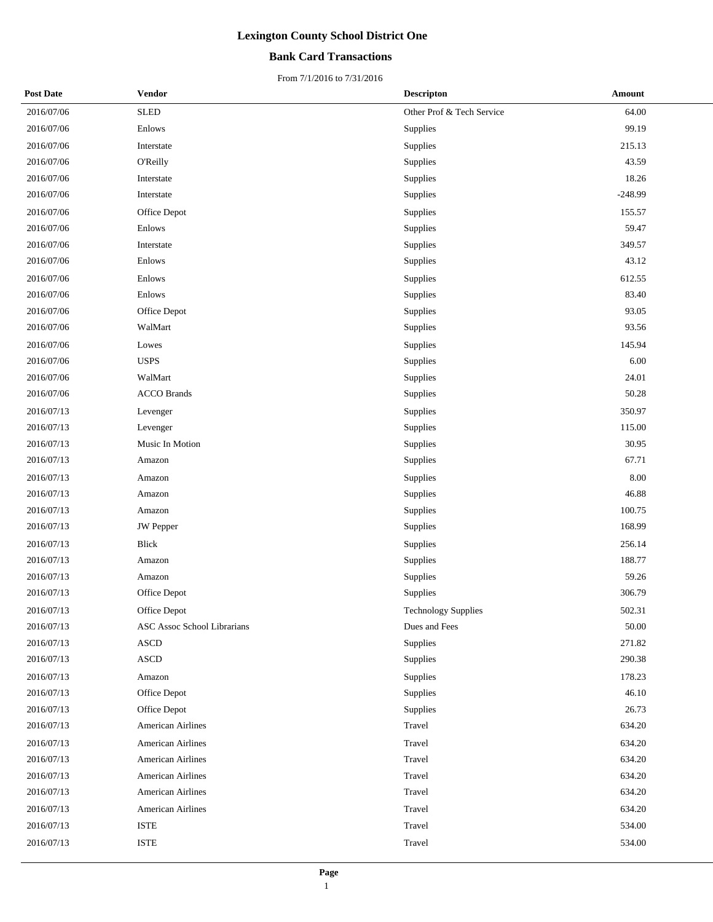## **Bank Card Transactions**

| <b>Post Date</b> | Vendor                      | <b>Descripton</b>         | Amount    |
|------------------|-----------------------------|---------------------------|-----------|
| 2016/07/06       | <b>SLED</b>                 | Other Prof & Tech Service | 64.00     |
| 2016/07/06       | Enlows                      | Supplies                  | 99.19     |
| 2016/07/06       | Interstate                  | Supplies                  | 215.13    |
| 2016/07/06       | O'Reilly                    | Supplies                  | 43.59     |
| 2016/07/06       | Interstate                  | Supplies                  | 18.26     |
| 2016/07/06       | Interstate                  | Supplies                  | $-248.99$ |
| 2016/07/06       | Office Depot                | Supplies                  | 155.57    |
| 2016/07/06       | Enlows                      | Supplies                  | 59.47     |
| 2016/07/06       | Interstate                  | Supplies                  | 349.57    |
| 2016/07/06       | Enlows                      | Supplies                  | 43.12     |
| 2016/07/06       | Enlows                      | Supplies                  | 612.55    |
| 2016/07/06       | Enlows                      | Supplies                  | 83.40     |
| 2016/07/06       | Office Depot                | Supplies                  | 93.05     |
| 2016/07/06       | WalMart                     | Supplies                  | 93.56     |
| 2016/07/06       | Lowes                       | Supplies                  | 145.94    |
| 2016/07/06       | <b>USPS</b>                 | Supplies                  | 6.00      |
| 2016/07/06       | WalMart                     | Supplies                  | 24.01     |
| 2016/07/06       | <b>ACCO Brands</b>          | Supplies                  | 50.28     |
| 2016/07/13       | Levenger                    | Supplies                  | 350.97    |
| 2016/07/13       | Levenger                    | Supplies                  | 115.00    |
| 2016/07/13       | Music In Motion             | Supplies                  | 30.95     |
| 2016/07/13       | Amazon                      | Supplies                  | 67.71     |
| 2016/07/13       | Amazon                      | Supplies                  | 8.00      |
| 2016/07/13       | Amazon                      | Supplies                  | 46.88     |
| 2016/07/13       | Amazon                      | Supplies                  | 100.75    |
| 2016/07/13       | <b>JW</b> Pepper            | Supplies                  | 168.99    |
| 2016/07/13       | <b>Blick</b>                | Supplies                  | 256.14    |
| 2016/07/13       | Amazon                      | Supplies                  | 188.77    |
| 2016/07/13       | Amazon                      | Supplies                  | 59.26     |
| 2016/07/13       | Office Depot                | Supplies                  | 306.79    |
| 2016/07/13       | Office Depot                | Technology Supplies       | 502.31    |
| 2016/07/13       | ASC Assoc School Librarians | Dues and Fees             | 50.00     |
| 2016/07/13       | <b>ASCD</b>                 | Supplies                  | 271.82    |
| 2016/07/13       | <b>ASCD</b>                 | Supplies                  | 290.38    |
| 2016/07/13       | Amazon                      | Supplies                  | 178.23    |
| 2016/07/13       | Office Depot                | Supplies                  | 46.10     |
| 2016/07/13       | Office Depot                | Supplies                  | 26.73     |
| 2016/07/13       | <b>American Airlines</b>    | Travel                    | 634.20    |
| 2016/07/13       | <b>American Airlines</b>    | Travel                    | 634.20    |
| 2016/07/13       | <b>American Airlines</b>    | Travel                    | 634.20    |
| 2016/07/13       | <b>American Airlines</b>    | Travel                    | 634.20    |
| 2016/07/13       | <b>American Airlines</b>    | Travel                    | 634.20    |
| 2016/07/13       | <b>American Airlines</b>    | Travel                    | 634.20    |
| 2016/07/13       | <b>ISTE</b>                 | Travel                    | 534.00    |
| 2016/07/13       | <b>ISTE</b>                 | Travel                    | 534.00    |
|                  |                             |                           |           |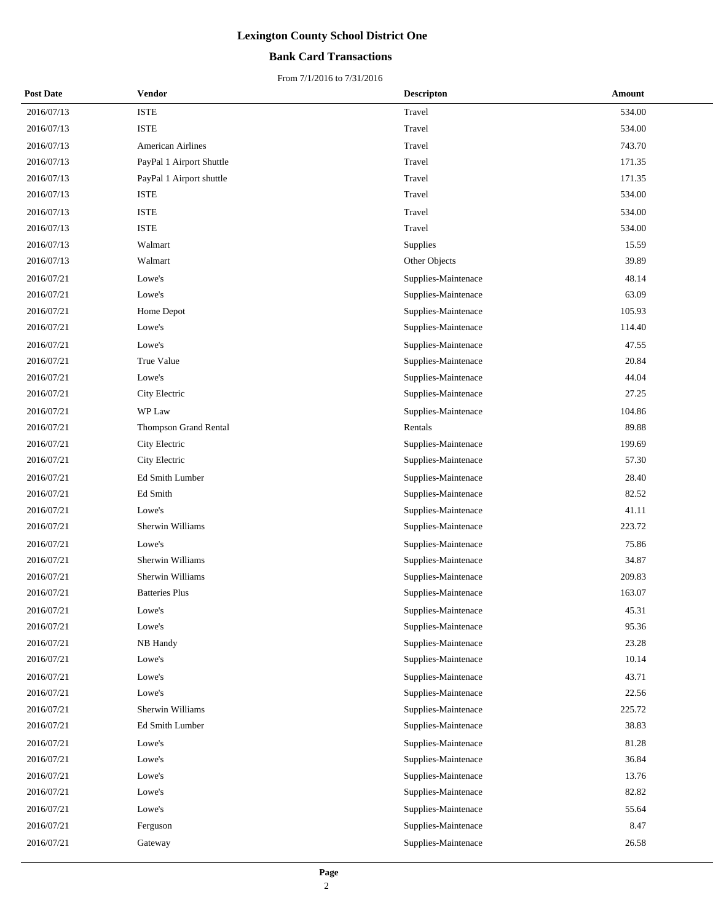## **Bank Card Transactions**

| <b>Post Date</b> | Vendor                   | <b>Descripton</b>   | Amount |
|------------------|--------------------------|---------------------|--------|
| 2016/07/13       | <b>ISTE</b>              | Travel              | 534.00 |
| 2016/07/13       | <b>ISTE</b>              | Travel              | 534.00 |
| 2016/07/13       | American Airlines        | Travel              | 743.70 |
| 2016/07/13       | PayPal 1 Airport Shuttle | Travel              | 171.35 |
| 2016/07/13       | PayPal 1 Airport shuttle | Travel              | 171.35 |
| 2016/07/13       | <b>ISTE</b>              | Travel              | 534.00 |
| 2016/07/13       | <b>ISTE</b>              | Travel              | 534.00 |
| 2016/07/13       | <b>ISTE</b>              | Travel              | 534.00 |
| 2016/07/13       | Walmart                  | Supplies            | 15.59  |
| 2016/07/13       | Walmart                  | Other Objects       | 39.89  |
| 2016/07/21       | Lowe's                   | Supplies-Maintenace | 48.14  |
| 2016/07/21       | Lowe's                   | Supplies-Maintenace | 63.09  |
| 2016/07/21       | Home Depot               | Supplies-Maintenace | 105.93 |
| 2016/07/21       | Lowe's                   | Supplies-Maintenace | 114.40 |
| 2016/07/21       | Lowe's                   | Supplies-Maintenace | 47.55  |
| 2016/07/21       | True Value               | Supplies-Maintenace | 20.84  |
| 2016/07/21       | Lowe's                   | Supplies-Maintenace | 44.04  |
| 2016/07/21       | City Electric            | Supplies-Maintenace | 27.25  |
| 2016/07/21       | WP Law                   | Supplies-Maintenace | 104.86 |
| 2016/07/21       | Thompson Grand Rental    | Rentals             | 89.88  |
| 2016/07/21       | City Electric            | Supplies-Maintenace | 199.69 |
| 2016/07/21       | City Electric            | Supplies-Maintenace | 57.30  |
| 2016/07/21       | Ed Smith Lumber          | Supplies-Maintenace | 28.40  |
| 2016/07/21       | Ed Smith                 | Supplies-Maintenace | 82.52  |
| 2016/07/21       | Lowe's                   | Supplies-Maintenace | 41.11  |
| 2016/07/21       | Sherwin Williams         | Supplies-Maintenace | 223.72 |
| 2016/07/21       | Lowe's                   | Supplies-Maintenace | 75.86  |
| 2016/07/21       | Sherwin Williams         | Supplies-Maintenace | 34.87  |
| 2016/07/21       | Sherwin Williams         | Supplies-Maintenace | 209.83 |
| 2016/07/21       | <b>Batteries Plus</b>    | Supplies-Maintenace | 163.07 |
| 2016/07/21       | Lowe's                   | Supplies-Maintenace | 45.31  |
| 2016/07/21       | Lowe's                   | Supplies-Maintenace | 95.36  |
| 2016/07/21       | NB Handy                 | Supplies-Maintenace | 23.28  |
| 2016/07/21       | Lowe's                   | Supplies-Maintenace | 10.14  |
| 2016/07/21       | Lowe's                   | Supplies-Maintenace | 43.71  |
| 2016/07/21       | Lowe's                   | Supplies-Maintenace | 22.56  |
| 2016/07/21       | Sherwin Williams         | Supplies-Maintenace | 225.72 |
| 2016/07/21       | Ed Smith Lumber          | Supplies-Maintenace | 38.83  |
| 2016/07/21       | Lowe's                   | Supplies-Maintenace | 81.28  |
| 2016/07/21       | Lowe's                   | Supplies-Maintenace | 36.84  |
| 2016/07/21       | Lowe's                   | Supplies-Maintenace | 13.76  |
| 2016/07/21       | Lowe's                   | Supplies-Maintenace | 82.82  |
| 2016/07/21       | Lowe's                   | Supplies-Maintenace | 55.64  |
| 2016/07/21       | Ferguson                 | Supplies-Maintenace | 8.47   |
| 2016/07/21       | Gateway                  | Supplies-Maintenace | 26.58  |
|                  |                          |                     |        |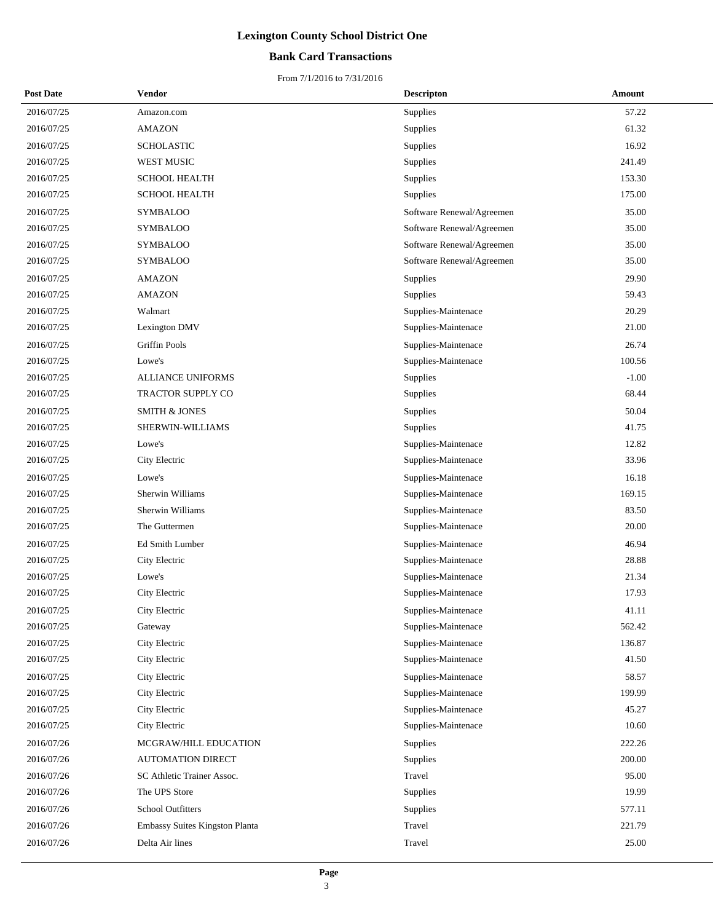## **Bank Card Transactions**

| <b>Post Date</b> | Vendor                         | <b>Descripton</b>         | Amount  |
|------------------|--------------------------------|---------------------------|---------|
| 2016/07/25       | Amazon.com                     | Supplies                  | 57.22   |
| 2016/07/25       | <b>AMAZON</b>                  | Supplies                  | 61.32   |
| 2016/07/25       | <b>SCHOLASTIC</b>              | Supplies                  | 16.92   |
| 2016/07/25       | WEST MUSIC                     | Supplies                  | 241.49  |
| 2016/07/25       | <b>SCHOOL HEALTH</b>           | Supplies                  | 153.30  |
| 2016/07/25       | <b>SCHOOL HEALTH</b>           | Supplies                  | 175.00  |
| 2016/07/25       | <b>SYMBALOO</b>                | Software Renewal/Agreemen | 35.00   |
| 2016/07/25       | <b>SYMBALOO</b>                | Software Renewal/Agreemen | 35.00   |
| 2016/07/25       | <b>SYMBALOO</b>                | Software Renewal/Agreemen | 35.00   |
| 2016/07/25       | <b>SYMBALOO</b>                | Software Renewal/Agreemen | 35.00   |
| 2016/07/25       | <b>AMAZON</b>                  | Supplies                  | 29.90   |
| 2016/07/25       | <b>AMAZON</b>                  | Supplies                  | 59.43   |
| 2016/07/25       | Walmart                        | Supplies-Maintenace       | 20.29   |
| 2016/07/25       | Lexington DMV                  | Supplies-Maintenace       | 21.00   |
| 2016/07/25       | <b>Griffin Pools</b>           | Supplies-Maintenace       | 26.74   |
| 2016/07/25       | Lowe's                         | Supplies-Maintenace       | 100.56  |
| 2016/07/25       | <b>ALLIANCE UNIFORMS</b>       | Supplies                  | $-1.00$ |
| 2016/07/25       | TRACTOR SUPPLY CO              | Supplies                  | 68.44   |
| 2016/07/25       | <b>SMITH &amp; JONES</b>       | Supplies                  | 50.04   |
| 2016/07/25       | SHERWIN-WILLIAMS               | Supplies                  | 41.75   |
| 2016/07/25       | Lowe's                         | Supplies-Maintenace       | 12.82   |
| 2016/07/25       | City Electric                  | Supplies-Maintenace       | 33.96   |
| 2016/07/25       | Lowe's                         | Supplies-Maintenace       | 16.18   |
| 2016/07/25       | Sherwin Williams               | Supplies-Maintenace       | 169.15  |
| 2016/07/25       | Sherwin Williams               | Supplies-Maintenace       | 83.50   |
| 2016/07/25       | The Guttermen                  | Supplies-Maintenace       | 20.00   |
| 2016/07/25       | Ed Smith Lumber                | Supplies-Maintenace       | 46.94   |
| 2016/07/25       | City Electric                  | Supplies-Maintenace       | 28.88   |
| 2016/07/25       | Lowe's                         | Supplies-Maintenace       | 21.34   |
| 2016/07/25       | City Electric                  | Supplies-Maintenace       | 17.93   |
| 2016/07/25       | City Electric                  | Supplies-Maintenace       | 41.11   |
| 2016/07/25       | Gateway                        | Supplies-Maintenace       | 562.42  |
| 2016/07/25       | City Electric                  | Supplies-Maintenace       | 136.87  |
| 2016/07/25       | City Electric                  | Supplies-Maintenace       | 41.50   |
| 2016/07/25       | City Electric                  | Supplies-Maintenace       | 58.57   |
| 2016/07/25       | City Electric                  | Supplies-Maintenace       | 199.99  |
| 2016/07/25       | City Electric                  | Supplies-Maintenace       | 45.27   |
| 2016/07/25       | City Electric                  | Supplies-Maintenace       | 10.60   |
| 2016/07/26       | MCGRAW/HILL EDUCATION          | Supplies                  | 222.26  |
| 2016/07/26       | <b>AUTOMATION DIRECT</b>       | Supplies                  | 200.00  |
| 2016/07/26       | SC Athletic Trainer Assoc.     | Travel                    | 95.00   |
| 2016/07/26       | The UPS Store                  | Supplies                  | 19.99   |
| 2016/07/26       | <b>School Outfitters</b>       | Supplies                  | 577.11  |
| 2016/07/26       | Embassy Suites Kingston Planta | Travel                    | 221.79  |
| 2016/07/26       | Delta Air lines                | Travel                    | 25.00   |
|                  |                                |                           |         |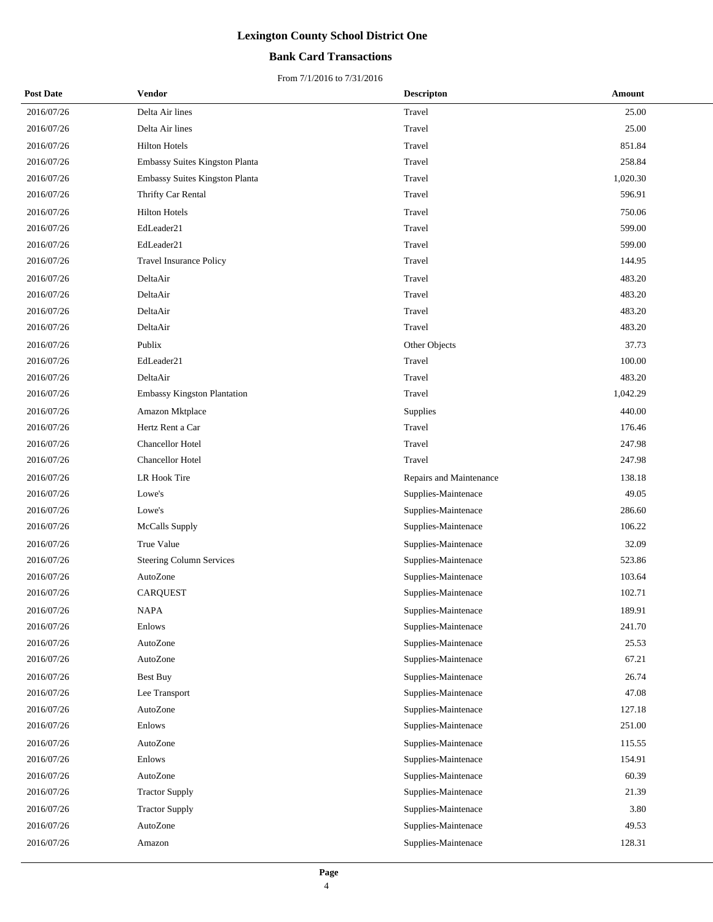## **Bank Card Transactions**

| <b>Post Date</b> | Vendor                             | <b>Descripton</b>       | Amount   |
|------------------|------------------------------------|-------------------------|----------|
| 2016/07/26       | Delta Air lines                    | Travel                  | 25.00    |
| 2016/07/26       | Delta Air lines                    | Travel                  | 25.00    |
| 2016/07/26       | <b>Hilton Hotels</b>               | Travel                  | 851.84   |
| 2016/07/26       | Embassy Suites Kingston Planta     | Travel                  | 258.84   |
| 2016/07/26       | Embassy Suites Kingston Planta     | Travel                  | 1,020.30 |
| 2016/07/26       | Thrifty Car Rental                 | Travel                  | 596.91   |
| 2016/07/26       | <b>Hilton Hotels</b>               | Travel                  | 750.06   |
| 2016/07/26       | EdLeader21                         | Travel                  | 599.00   |
| 2016/07/26       | EdLeader21                         | Travel                  | 599.00   |
| 2016/07/26       | Travel Insurance Policy            | Travel                  | 144.95   |
| 2016/07/26       | DeltaAir                           | Travel                  | 483.20   |
| 2016/07/26       | DeltaAir                           | Travel                  | 483.20   |
| 2016/07/26       | DeltaAir                           | Travel                  | 483.20   |
| 2016/07/26       | DeltaAir                           | Travel                  | 483.20   |
| 2016/07/26       | Publix                             | Other Objects           | 37.73    |
| 2016/07/26       | EdLeader21                         | Travel                  | 100.00   |
| 2016/07/26       | DeltaAir                           | Travel                  | 483.20   |
| 2016/07/26       | <b>Embassy Kingston Plantation</b> | Travel                  | 1,042.29 |
| 2016/07/26       | Amazon Mktplace                    | Supplies                | 440.00   |
| 2016/07/26       | Hertz Rent a Car                   | Travel                  | 176.46   |
| 2016/07/26       | Chancellor Hotel                   | Travel                  | 247.98   |
| 2016/07/26       | Chancellor Hotel                   | Travel                  | 247.98   |
| 2016/07/26       | LR Hook Tire                       | Repairs and Maintenance | 138.18   |
| 2016/07/26       | Lowe's                             | Supplies-Maintenace     | 49.05    |
| 2016/07/26       | Lowe's                             | Supplies-Maintenace     | 286.60   |
| 2016/07/26       | McCalls Supply                     | Supplies-Maintenace     | 106.22   |
| 2016/07/26       | True Value                         | Supplies-Maintenace     | 32.09    |
| 2016/07/26       | Steering Column Services           | Supplies-Maintenace     | 523.86   |
| 2016/07/26       | AutoZone                           | Supplies-Maintenace     | 103.64   |
| 2016/07/26       | <b>CARQUEST</b>                    | Supplies-Maintenace     | 102.71   |
| 2016/07/26       | NAPA                               | Supplies-Maintenace     | 189.91   |
| 2016/07/26       | Enlows                             | Supplies-Maintenace     | 241.70   |
| 2016/07/26       | AutoZone                           | Supplies-Maintenace     | 25.53    |
| 2016/07/26       | AutoZone                           | Supplies-Maintenace     | 67.21    |
| 2016/07/26       | <b>Best Buy</b>                    | Supplies-Maintenace     | 26.74    |
| 2016/07/26       | Lee Transport                      | Supplies-Maintenace     | 47.08    |
| 2016/07/26       | AutoZone                           | Supplies-Maintenace     | 127.18   |
| 2016/07/26       | Enlows                             | Supplies-Maintenace     | 251.00   |
| 2016/07/26       | AutoZone                           | Supplies-Maintenace     | 115.55   |
| 2016/07/26       | Enlows                             | Supplies-Maintenace     | 154.91   |
| 2016/07/26       | AutoZone                           | Supplies-Maintenace     | 60.39    |
| 2016/07/26       | <b>Tractor Supply</b>              | Supplies-Maintenace     | 21.39    |
| 2016/07/26       | <b>Tractor Supply</b>              | Supplies-Maintenace     | 3.80     |
| 2016/07/26       | AutoZone                           | Supplies-Maintenace     | 49.53    |
| 2016/07/26       | Amazon                             | Supplies-Maintenace     | 128.31   |
|                  |                                    |                         |          |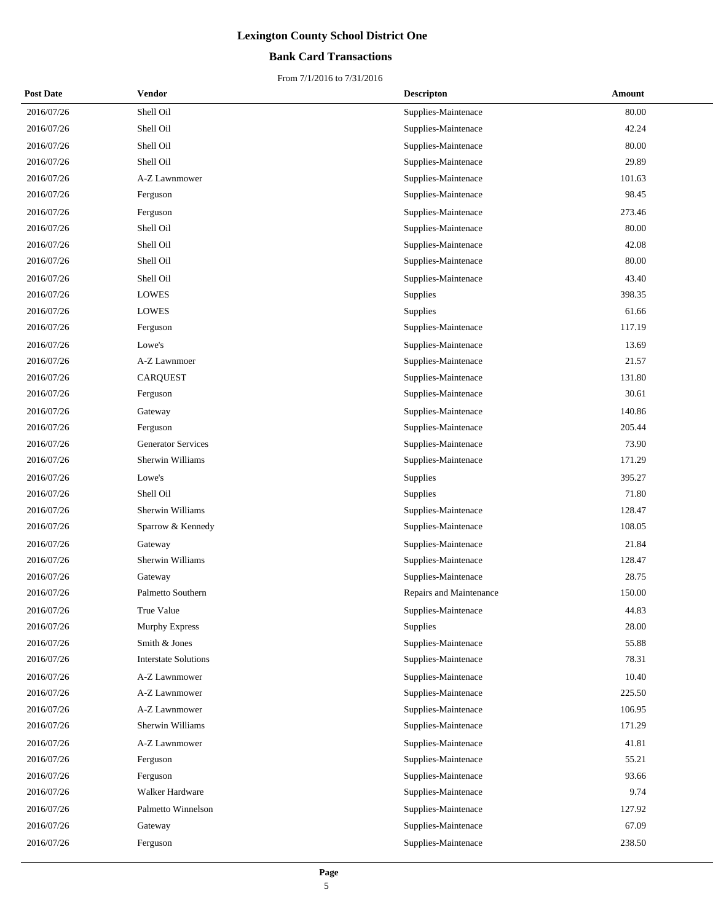## **Bank Card Transactions**

| <b>Post Date</b> | Vendor                      | <b>Descripton</b>       | Amount |
|------------------|-----------------------------|-------------------------|--------|
| 2016/07/26       | Shell Oil                   | Supplies-Maintenace     | 80.00  |
| 2016/07/26       | Shell Oil                   | Supplies-Maintenace     | 42.24  |
| 2016/07/26       | Shell Oil                   | Supplies-Maintenace     | 80.00  |
| 2016/07/26       | Shell Oil                   | Supplies-Maintenace     | 29.89  |
| 2016/07/26       | A-Z Lawnmower               | Supplies-Maintenace     | 101.63 |
| 2016/07/26       | Ferguson                    | Supplies-Maintenace     | 98.45  |
| 2016/07/26       | Ferguson                    | Supplies-Maintenace     | 273.46 |
| 2016/07/26       | Shell Oil                   | Supplies-Maintenace     | 80.00  |
| 2016/07/26       | Shell Oil                   | Supplies-Maintenace     | 42.08  |
| 2016/07/26       | Shell Oil                   | Supplies-Maintenace     | 80.00  |
| 2016/07/26       | Shell Oil                   | Supplies-Maintenace     | 43.40  |
| 2016/07/26       | <b>LOWES</b>                | Supplies                | 398.35 |
| 2016/07/26       | <b>LOWES</b>                | Supplies                | 61.66  |
| 2016/07/26       | Ferguson                    | Supplies-Maintenace     | 117.19 |
| 2016/07/26       | Lowe's                      | Supplies-Maintenace     | 13.69  |
| 2016/07/26       | A-Z Lawnmoer                | Supplies-Maintenace     | 21.57  |
| 2016/07/26       | <b>CARQUEST</b>             | Supplies-Maintenace     | 131.80 |
| 2016/07/26       | Ferguson                    | Supplies-Maintenace     | 30.61  |
| 2016/07/26       | Gateway                     | Supplies-Maintenace     | 140.86 |
| 2016/07/26       | Ferguson                    | Supplies-Maintenace     | 205.44 |
| 2016/07/26       | <b>Generator Services</b>   | Supplies-Maintenace     | 73.90  |
| 2016/07/26       | Sherwin Williams            | Supplies-Maintenace     | 171.29 |
| 2016/07/26       | Lowe's                      | Supplies                | 395.27 |
| 2016/07/26       | Shell Oil                   | Supplies                | 71.80  |
| 2016/07/26       | Sherwin Williams            | Supplies-Maintenace     | 128.47 |
| 2016/07/26       | Sparrow & Kennedy           | Supplies-Maintenace     | 108.05 |
| 2016/07/26       | Gateway                     | Supplies-Maintenace     | 21.84  |
| 2016/07/26       | Sherwin Williams            | Supplies-Maintenace     | 128.47 |
| 2016/07/26       | Gateway                     | Supplies-Maintenace     | 28.75  |
| 2016/07/26       | Palmetto Southern           | Repairs and Maintenance | 150.00 |
| 2016/07/26       | True Value                  | Supplies-Maintenace     | 44.83  |
| 2016/07/26       | Murphy Express              | Supplies                | 28.00  |
| 2016/07/26       | Smith & Jones               | Supplies-Maintenace     | 55.88  |
| 2016/07/26       | <b>Interstate Solutions</b> | Supplies-Maintenace     | 78.31  |
| 2016/07/26       | A-Z Lawnmower               | Supplies-Maintenace     | 10.40  |
| 2016/07/26       | A-Z Lawnmower               | Supplies-Maintenace     | 225.50 |
| 2016/07/26       | A-Z Lawnmower               | Supplies-Maintenace     | 106.95 |
| 2016/07/26       | Sherwin Williams            | Supplies-Maintenace     | 171.29 |
| 2016/07/26       | A-Z Lawnmower               | Supplies-Maintenace     | 41.81  |
| 2016/07/26       | Ferguson                    | Supplies-Maintenace     | 55.21  |
| 2016/07/26       | Ferguson                    | Supplies-Maintenace     | 93.66  |
| 2016/07/26       | Walker Hardware             | Supplies-Maintenace     | 9.74   |
| 2016/07/26       | Palmetto Winnelson          | Supplies-Maintenace     | 127.92 |
| 2016/07/26       | Gateway                     | Supplies-Maintenace     | 67.09  |
| 2016/07/26       | Ferguson                    | Supplies-Maintenace     | 238.50 |
|                  |                             |                         |        |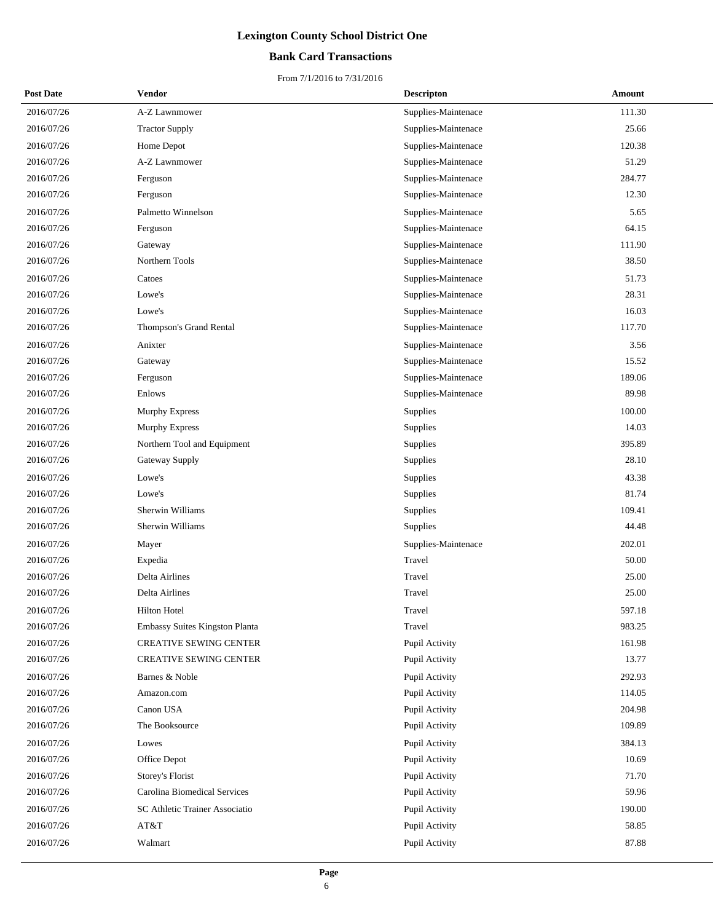## **Bank Card Transactions**

| <b>Post Date</b> | Vendor                                | <b>Descripton</b>   | Amount |
|------------------|---------------------------------------|---------------------|--------|
| 2016/07/26       | A-Z Lawnmower                         | Supplies-Maintenace | 111.30 |
| 2016/07/26       | <b>Tractor Supply</b>                 | Supplies-Maintenace | 25.66  |
| 2016/07/26       | Home Depot                            | Supplies-Maintenace | 120.38 |
| 2016/07/26       | A-Z Lawnmower                         | Supplies-Maintenace | 51.29  |
| 2016/07/26       | Ferguson                              | Supplies-Maintenace | 284.77 |
| 2016/07/26       | Ferguson                              | Supplies-Maintenace | 12.30  |
| 2016/07/26       | Palmetto Winnelson                    | Supplies-Maintenace | 5.65   |
| 2016/07/26       | Ferguson                              | Supplies-Maintenace | 64.15  |
| 2016/07/26       | Gateway                               | Supplies-Maintenace | 111.90 |
| 2016/07/26       | Northern Tools                        | Supplies-Maintenace | 38.50  |
| 2016/07/26       | Catoes                                | Supplies-Maintenace | 51.73  |
| 2016/07/26       | Lowe's                                | Supplies-Maintenace | 28.31  |
| 2016/07/26       | Lowe's                                | Supplies-Maintenace | 16.03  |
| 2016/07/26       | Thompson's Grand Rental               | Supplies-Maintenace | 117.70 |
| 2016/07/26       | Anixter                               | Supplies-Maintenace | 3.56   |
| 2016/07/26       | Gateway                               | Supplies-Maintenace | 15.52  |
| 2016/07/26       | Ferguson                              | Supplies-Maintenace | 189.06 |
| 2016/07/26       | Enlows                                | Supplies-Maintenace | 89.98  |
| 2016/07/26       | Murphy Express                        | Supplies            | 100.00 |
| 2016/07/26       | Murphy Express                        | Supplies            | 14.03  |
| 2016/07/26       | Northern Tool and Equipment           | Supplies            | 395.89 |
| 2016/07/26       | Gateway Supply                        | Supplies            | 28.10  |
| 2016/07/26       | Lowe's                                | Supplies            | 43.38  |
| 2016/07/26       | Lowe's                                | Supplies            | 81.74  |
| 2016/07/26       | Sherwin Williams                      | Supplies            | 109.41 |
| 2016/07/26       | Sherwin Williams                      | Supplies            | 44.48  |
| 2016/07/26       | Mayer                                 | Supplies-Maintenace | 202.01 |
| 2016/07/26       | Expedia                               | Travel              | 50.00  |
| 2016/07/26       | Delta Airlines                        | Travel              | 25.00  |
| 2016/07/26       | Delta Airlines                        | Travel              | 25.00  |
| 2016/07/26       | Hilton Hotel                          | Travel              | 597.18 |
| 2016/07/26       | <b>Embassy Suites Kingston Planta</b> | Travel              | 983.25 |
| 2016/07/26       | <b>CREATIVE SEWING CENTER</b>         | Pupil Activity      | 161.98 |
| 2016/07/26       | <b>CREATIVE SEWING CENTER</b>         | Pupil Activity      | 13.77  |
| 2016/07/26       | Barnes & Noble                        | Pupil Activity      | 292.93 |
| 2016/07/26       | Amazon.com                            | Pupil Activity      | 114.05 |
| 2016/07/26       | Canon USA                             | Pupil Activity      | 204.98 |
| 2016/07/26       | The Booksource                        | Pupil Activity      | 109.89 |
| 2016/07/26       | Lowes                                 | Pupil Activity      | 384.13 |
| 2016/07/26       | Office Depot                          | Pupil Activity      | 10.69  |
| 2016/07/26       | Storey's Florist                      | Pupil Activity      | 71.70  |
| 2016/07/26       | Carolina Biomedical Services          | Pupil Activity      | 59.96  |
| 2016/07/26       | SC Athletic Trainer Associatio        | Pupil Activity      | 190.00 |
| 2016/07/26       | AT&T                                  | Pupil Activity      | 58.85  |
| 2016/07/26       | Walmart                               | Pupil Activity      | 87.88  |
|                  |                                       |                     |        |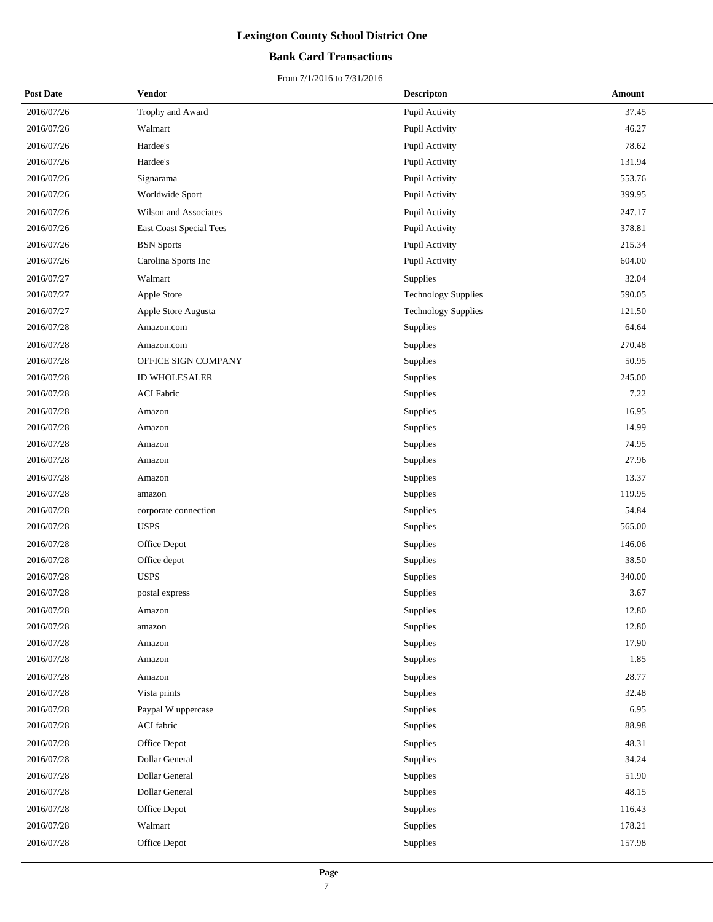## **Bank Card Transactions**

| <b>Post Date</b> | Vendor                  | <b>Descripton</b>          | Amount |
|------------------|-------------------------|----------------------------|--------|
| 2016/07/26       | Trophy and Award        | Pupil Activity             | 37.45  |
| 2016/07/26       | Walmart                 | Pupil Activity             | 46.27  |
| 2016/07/26       | Hardee's                | Pupil Activity             | 78.62  |
| 2016/07/26       | Hardee's                | Pupil Activity             | 131.94 |
| 2016/07/26       | Signarama               | Pupil Activity             | 553.76 |
| 2016/07/26       | Worldwide Sport         | Pupil Activity             | 399.95 |
| 2016/07/26       | Wilson and Associates   | Pupil Activity             | 247.17 |
| 2016/07/26       | East Coast Special Tees | Pupil Activity             | 378.81 |
| 2016/07/26       | <b>BSN</b> Sports       | Pupil Activity             | 215.34 |
| 2016/07/26       | Carolina Sports Inc     | Pupil Activity             | 604.00 |
| 2016/07/27       | Walmart                 | Supplies                   | 32.04  |
| 2016/07/27       | Apple Store             | <b>Technology Supplies</b> | 590.05 |
| 2016/07/27       | Apple Store Augusta     | <b>Technology Supplies</b> | 121.50 |
| 2016/07/28       | Amazon.com              | Supplies                   | 64.64  |
| 2016/07/28       | Amazon.com              | Supplies                   | 270.48 |
| 2016/07/28       | OFFICE SIGN COMPANY     | Supplies                   | 50.95  |
| 2016/07/28       | ID WHOLESALER           | Supplies                   | 245.00 |
| 2016/07/28       | <b>ACI Fabric</b>       | Supplies                   | 7.22   |
| 2016/07/28       | Amazon                  | Supplies                   | 16.95  |
| 2016/07/28       | Amazon                  | Supplies                   | 14.99  |
| 2016/07/28       | Amazon                  | Supplies                   | 74.95  |
| 2016/07/28       | Amazon                  | Supplies                   | 27.96  |
| 2016/07/28       | Amazon                  | Supplies                   | 13.37  |
| 2016/07/28       | amazon                  | Supplies                   | 119.95 |
| 2016/07/28       | corporate connection    | Supplies                   | 54.84  |
| 2016/07/28       | <b>USPS</b>             | Supplies                   | 565.00 |
| 2016/07/28       | Office Depot            | Supplies                   | 146.06 |
| 2016/07/28       | Office depot            | Supplies                   | 38.50  |
| 2016/07/28       | <b>USPS</b>             | Supplies                   | 340.00 |
| 2016/07/28       | postal express          | Supplies                   | 3.67   |
| 2016/07/28       | Amazon                  | Supplies                   | 12.80  |
| 2016/07/28       | amazon                  | Supplies                   | 12.80  |
| 2016/07/28       | Amazon                  | Supplies                   | 17.90  |
| 2016/07/28       | Amazon                  | Supplies                   | 1.85   |
| 2016/07/28       | Amazon                  | Supplies                   | 28.77  |
| 2016/07/28       | Vista prints            | Supplies                   | 32.48  |
| 2016/07/28       | Paypal W uppercase      | Supplies                   | 6.95   |
| 2016/07/28       | ACI fabric              | Supplies                   | 88.98  |
| 2016/07/28       | Office Depot            | Supplies                   | 48.31  |
| 2016/07/28       | Dollar General          | Supplies                   | 34.24  |
| 2016/07/28       | Dollar General          | Supplies                   | 51.90  |
| 2016/07/28       | Dollar General          | Supplies                   | 48.15  |
| 2016/07/28       | Office Depot            | Supplies                   | 116.43 |
| 2016/07/28       | Walmart                 | Supplies                   | 178.21 |
| 2016/07/28       | Office Depot            | Supplies                   | 157.98 |
|                  |                         |                            |        |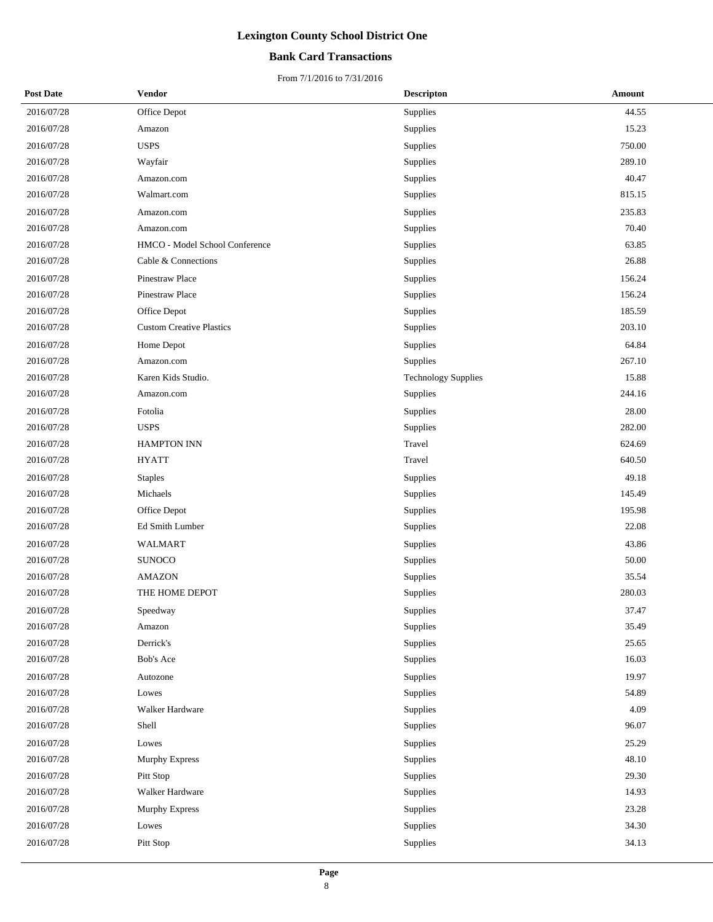## **Bank Card Transactions**

| <b>Post Date</b> | <b>Vendor</b>                   | <b>Descripton</b>          | <b>Amount</b> |
|------------------|---------------------------------|----------------------------|---------------|
| 2016/07/28       | Office Depot                    | Supplies                   | 44.55         |
| 2016/07/28       | Amazon                          | Supplies                   | 15.23         |
| 2016/07/28       | <b>USPS</b>                     | Supplies                   | 750.00        |
| 2016/07/28       | Wayfair                         | Supplies                   | 289.10        |
| 2016/07/28       | Amazon.com                      | Supplies                   | 40.47         |
| 2016/07/28       | Walmart.com                     | Supplies                   | 815.15        |
| 2016/07/28       | Amazon.com                      | Supplies                   | 235.83        |
| 2016/07/28       | Amazon.com                      | Supplies                   | 70.40         |
| 2016/07/28       | HMCO - Model School Conference  | Supplies                   | 63.85         |
| 2016/07/28       | Cable & Connections             | Supplies                   | 26.88         |
| 2016/07/28       | Pinestraw Place                 | Supplies                   | 156.24        |
| 2016/07/28       | Pinestraw Place                 | Supplies                   | 156.24        |
| 2016/07/28       | Office Depot                    | Supplies                   | 185.59        |
| 2016/07/28       | <b>Custom Creative Plastics</b> | Supplies                   | 203.10        |
| 2016/07/28       | Home Depot                      | Supplies                   | 64.84         |
| 2016/07/28       | Amazon.com                      | Supplies                   | 267.10        |
| 2016/07/28       | Karen Kids Studio.              | <b>Technology Supplies</b> | 15.88         |
| 2016/07/28       | Amazon.com                      | Supplies                   | 244.16        |
| 2016/07/28       | Fotolia                         | Supplies                   | 28.00         |
| 2016/07/28       | <b>USPS</b>                     | Supplies                   | 282.00        |
| 2016/07/28       | <b>HAMPTON INN</b>              | Travel                     | 624.69        |
| 2016/07/28       | <b>HYATT</b>                    | Travel                     | 640.50        |
| 2016/07/28       | <b>Staples</b>                  | Supplies                   | 49.18         |
| 2016/07/28       | Michaels                        | Supplies                   | 145.49        |
| 2016/07/28       | Office Depot                    | Supplies                   | 195.98        |
| 2016/07/28       | Ed Smith Lumber                 | Supplies                   | 22.08         |
| 2016/07/28       | WALMART                         | Supplies                   | 43.86         |
| 2016/07/28       | <b>SUNOCO</b>                   | Supplies                   | 50.00         |
| 2016/07/28       | <b>AMAZON</b>                   | Supplies                   | 35.54         |
| 2016/07/28       | THE HOME DEPOT                  | Supplies                   | 280.03        |
| 2016/07/28       | Speedway                        | Supplies                   | 37.47         |
| 2016/07/28       | Amazon                          | Supplies                   | 35.49         |
| 2016/07/28       | Derrick's                       | Supplies                   | 25.65         |
| 2016/07/28       | <b>Bob's Ace</b>                | Supplies                   | 16.03         |
| 2016/07/28       | Autozone                        | Supplies                   | 19.97         |
| 2016/07/28       | Lowes                           | Supplies                   | 54.89         |
| 2016/07/28       | Walker Hardware                 | Supplies                   | 4.09          |
| 2016/07/28       | Shell                           | Supplies                   | 96.07         |
| 2016/07/28       | Lowes                           | Supplies                   | 25.29         |
| 2016/07/28       | Murphy Express                  | Supplies                   | 48.10         |
| 2016/07/28       | Pitt Stop                       | Supplies                   | 29.30         |
| 2016/07/28       | Walker Hardware                 | Supplies                   | 14.93         |
| 2016/07/28       | <b>Murphy Express</b>           | Supplies                   | 23.28         |
| 2016/07/28       | Lowes                           | Supplies                   | 34.30         |
| 2016/07/28       | Pitt Stop                       | Supplies                   | 34.13         |
|                  |                                 |                            |               |